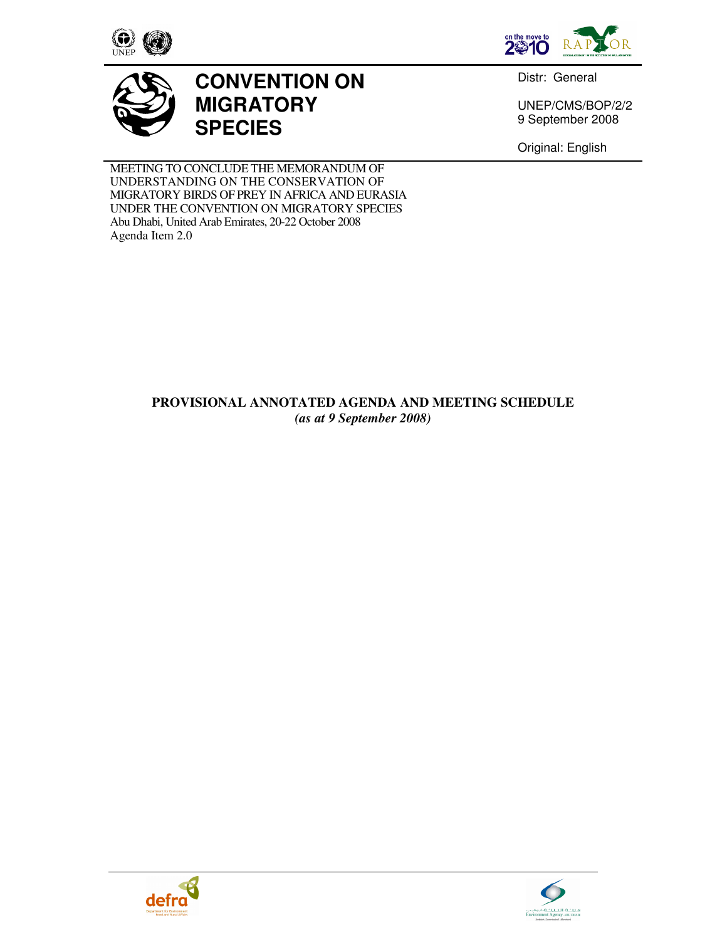



Distr: General

UNEP/CMS/BOP/2/2 9 September 2008

Original: English

MEETING TO CONCLUDE THE MEMORANDUM OF UNDERSTANDING ON THE CONSERVATION OF MIGRATORY BIRDS OF PREY IN AFRICA AND EURASIA UNDER THE CONVENTION ON MIGRATORY SPECIES Abu Dhabi, United Arab Emirates, 20-22 October 2008 Agenda Item 2.0

**MIGRATORY** 

**SPECIES**

**CONVENTION ON** 

## **PROVISIONAL ANNOTATED AGENDA AND MEETING SCHEDULE**  *(as at 9 September 2008)*



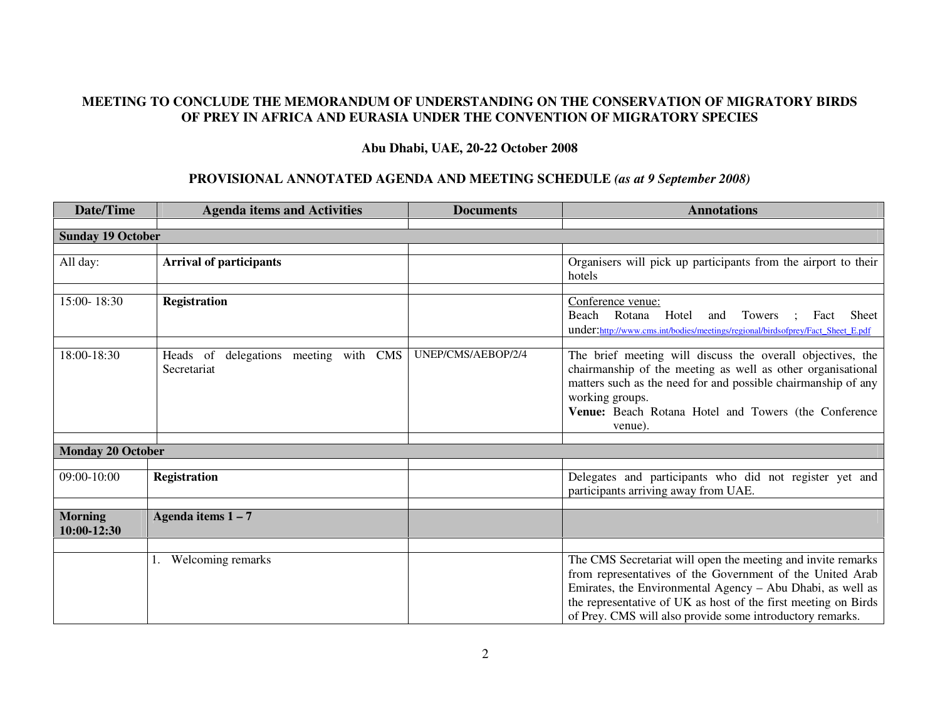## **MEETING TO CONCLUDE THE MEMORANDUM OF UNDERSTANDING ON THE CONSERVATION OF MIGRATORY BIRDS OF PREY IN AFRICA AND EURASIA UNDER THE CONVENTION OF MIGRATORY SPECIES**

## **Abu Dhabi, UAE, 20-22 October 2008**

## **PROVISIONAL ANNOTATED AGENDA AND MEETING SCHEDULE** *(as at 9 September 2008)*

| Date/Time                     | <b>Agenda items and Activities</b>                   | <b>Documents</b>   | <b>Annotations</b>                                                                                                                                                                                                                                                                                                     |
|-------------------------------|------------------------------------------------------|--------------------|------------------------------------------------------------------------------------------------------------------------------------------------------------------------------------------------------------------------------------------------------------------------------------------------------------------------|
| <b>Sunday 19 October</b>      |                                                      |                    |                                                                                                                                                                                                                                                                                                                        |
|                               |                                                      |                    |                                                                                                                                                                                                                                                                                                                        |
| All day:                      | <b>Arrival of participants</b>                       |                    | Organisers will pick up participants from the airport to their<br>hotels                                                                                                                                                                                                                                               |
| 15:00-18:30                   | <b>Registration</b>                                  |                    | Conference venue:<br>Rotana<br>Beach<br>Hotel<br>Towers<br><b>Sheet</b><br>and<br>Fact<br>under:http://www.cms.int/bodies/meetings/regional/birdsofprey/Fact_Sheet_E.pdf                                                                                                                                               |
| 18:00-18:30                   | Heads of delegations meeting with CMS<br>Secretariat | UNEP/CMS/AEBOP/2/4 | The brief meeting will discuss the overall objectives, the<br>chairmanship of the meeting as well as other organisational<br>matters such as the need for and possible chairmanship of any<br>working groups.<br>Venue: Beach Rotana Hotel and Towers (the Conference<br>venue).                                       |
|                               |                                                      |                    |                                                                                                                                                                                                                                                                                                                        |
| <b>Monday 20 October</b>      |                                                      |                    |                                                                                                                                                                                                                                                                                                                        |
| $09:00 - 10:00$               | <b>Registration</b>                                  |                    | Delegates and participants who did not register yet and<br>participants arriving away from UAE.                                                                                                                                                                                                                        |
| <b>Morning</b><br>10:00-12:30 | Agenda items $1 - 7$                                 |                    |                                                                                                                                                                                                                                                                                                                        |
|                               |                                                      |                    |                                                                                                                                                                                                                                                                                                                        |
|                               | Welcoming remarks                                    |                    | The CMS Secretariat will open the meeting and invite remarks<br>from representatives of the Government of the United Arab<br>Emirates, the Environmental Agency - Abu Dhabi, as well as<br>the representative of UK as host of the first meeting on Birds<br>of Prey. CMS will also provide some introductory remarks. |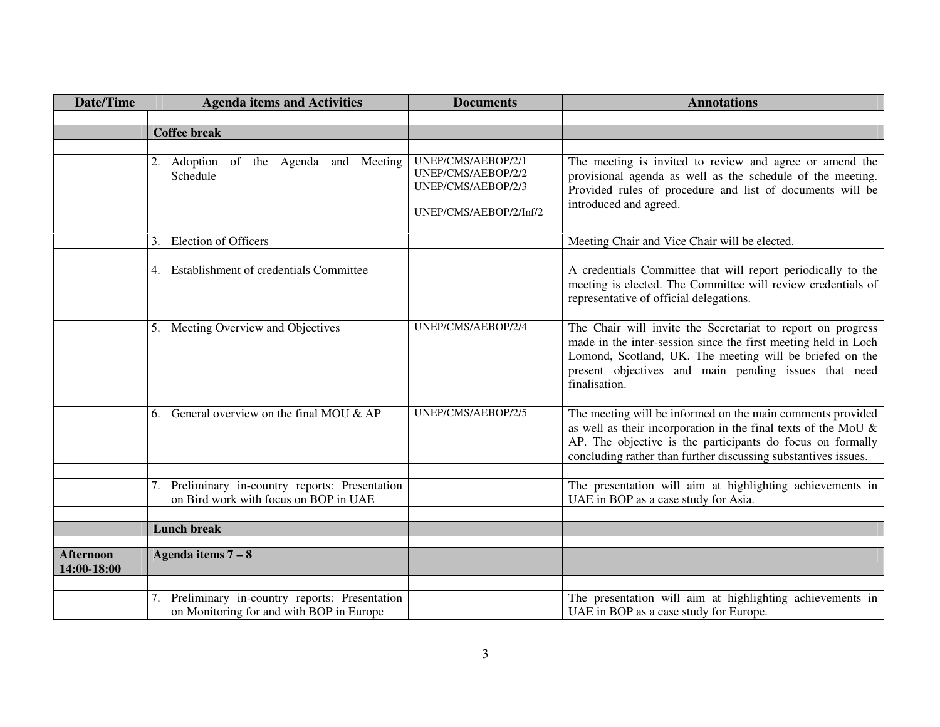| <b>Date/Time</b>                | <b>Agenda items and Activities</b>                                                             | <b>Documents</b>                                               | <b>Annotations</b>                                                                                                                                                                                                                                                 |
|---------------------------------|------------------------------------------------------------------------------------------------|----------------------------------------------------------------|--------------------------------------------------------------------------------------------------------------------------------------------------------------------------------------------------------------------------------------------------------------------|
|                                 |                                                                                                |                                                                |                                                                                                                                                                                                                                                                    |
|                                 | <b>Coffee break</b>                                                                            |                                                                |                                                                                                                                                                                                                                                                    |
|                                 |                                                                                                |                                                                |                                                                                                                                                                                                                                                                    |
|                                 | 2. Adoption of the Agenda and<br>Meeting<br>Schedule                                           | UNEP/CMS/AEBOP/2/1<br>UNEP/CMS/AEBOP/2/2<br>UNEP/CMS/AEBOP/2/3 | The meeting is invited to review and agree or amend the<br>provisional agenda as well as the schedule of the meeting.<br>Provided rules of procedure and list of documents will be<br>introduced and agreed.                                                       |
|                                 |                                                                                                | UNEP/CMS/AEBOP/2/Inf/2                                         |                                                                                                                                                                                                                                                                    |
|                                 |                                                                                                |                                                                |                                                                                                                                                                                                                                                                    |
|                                 | <b>Election of Officers</b><br>3.                                                              |                                                                | Meeting Chair and Vice Chair will be elected.                                                                                                                                                                                                                      |
|                                 | Establishment of credentials Committee<br>4.                                                   |                                                                | A credentials Committee that will report periodically to the<br>meeting is elected. The Committee will review credentials of<br>representative of official delegations.                                                                                            |
|                                 |                                                                                                |                                                                |                                                                                                                                                                                                                                                                    |
|                                 | 5. Meeting Overview and Objectives                                                             | UNEP/CMS/AEBOP/2/4                                             | The Chair will invite the Secretariat to report on progress<br>made in the inter-session since the first meeting held in Loch<br>Lomond, Scotland, UK. The meeting will be briefed on the<br>present objectives and main pending issues that need<br>finalisation. |
|                                 |                                                                                                |                                                                |                                                                                                                                                                                                                                                                    |
|                                 | General overview on the final MOU $\&$ AP<br>6.                                                | UNEP/CMS/AEBOP/2/5                                             | The meeting will be informed on the main comments provided<br>as well as their incorporation in the final texts of the MoU $\&$<br>AP. The objective is the participants do focus on formally<br>concluding rather than further discussing substantives issues.    |
|                                 |                                                                                                |                                                                |                                                                                                                                                                                                                                                                    |
|                                 | Preliminary in-country reports: Presentation<br>7.<br>on Bird work with focus on BOP in UAE    |                                                                | The presentation will aim at highlighting achievements in<br>UAE in BOP as a case study for Asia.                                                                                                                                                                  |
|                                 |                                                                                                |                                                                |                                                                                                                                                                                                                                                                    |
|                                 | <b>Lunch break</b>                                                                             |                                                                |                                                                                                                                                                                                                                                                    |
| <b>Afternoon</b><br>14:00-18:00 | Agenda items $7 - 8$                                                                           |                                                                |                                                                                                                                                                                                                                                                    |
|                                 |                                                                                                |                                                                |                                                                                                                                                                                                                                                                    |
|                                 | Preliminary in-country reports: Presentation<br>7.<br>on Monitoring for and with BOP in Europe |                                                                | The presentation will aim at highlighting achievements in<br>UAE in BOP as a case study for Europe.                                                                                                                                                                |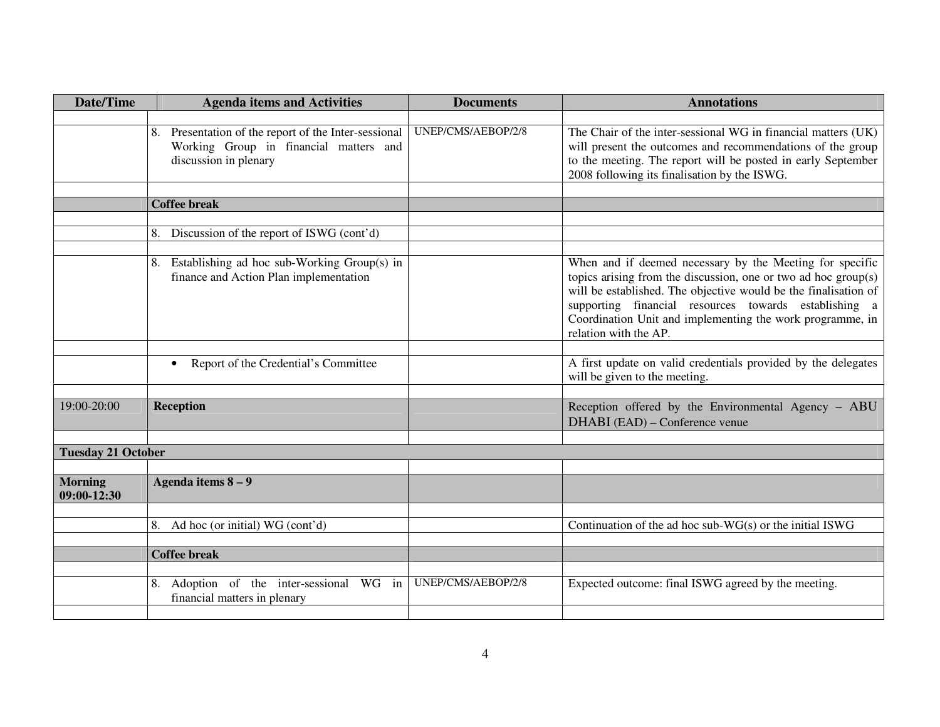| <b>Date/Time</b>              | <b>Agenda items and Activities</b>                                                                                      | <b>Documents</b>   | <b>Annotations</b>                                                                                                                                                                                                                                                                                                                           |
|-------------------------------|-------------------------------------------------------------------------------------------------------------------------|--------------------|----------------------------------------------------------------------------------------------------------------------------------------------------------------------------------------------------------------------------------------------------------------------------------------------------------------------------------------------|
|                               |                                                                                                                         |                    |                                                                                                                                                                                                                                                                                                                                              |
|                               | 8. Presentation of the report of the Inter-sessional<br>Working Group in financial matters and<br>discussion in plenary | UNEP/CMS/AEBOP/2/8 | The Chair of the inter-sessional WG in financial matters (UK)<br>will present the outcomes and recommendations of the group<br>to the meeting. The report will be posted in early September<br>2008 following its finalisation by the ISWG.                                                                                                  |
|                               |                                                                                                                         |                    |                                                                                                                                                                                                                                                                                                                                              |
|                               | <b>Coffee break</b>                                                                                                     |                    |                                                                                                                                                                                                                                                                                                                                              |
|                               | Discussion of the report of ISWG (cont'd)<br>8.                                                                         |                    |                                                                                                                                                                                                                                                                                                                                              |
|                               |                                                                                                                         |                    |                                                                                                                                                                                                                                                                                                                                              |
|                               | 8. Establishing ad hoc sub-Working Group(s) in<br>finance and Action Plan implementation                                |                    | When and if deemed necessary by the Meeting for specific<br>topics arising from the discussion, one or two ad hoc group(s)<br>will be established. The objective would be the finalisation of<br>supporting financial resources towards establishing a<br>Coordination Unit and implementing the work programme, in<br>relation with the AP. |
|                               | Report of the Credential's Committee<br>$\bullet$                                                                       |                    | A first update on valid credentials provided by the delegates<br>will be given to the meeting.                                                                                                                                                                                                                                               |
| 19:00-20:00                   | Reception                                                                                                               |                    | Reception offered by the Environmental Agency - ABU<br>DHABI (EAD) – Conference venue                                                                                                                                                                                                                                                        |
|                               |                                                                                                                         |                    |                                                                                                                                                                                                                                                                                                                                              |
| <b>Tuesday 21 October</b>     |                                                                                                                         |                    |                                                                                                                                                                                                                                                                                                                                              |
| <b>Morning</b><br>09:00-12:30 | Agenda items $8-9$                                                                                                      |                    |                                                                                                                                                                                                                                                                                                                                              |
|                               |                                                                                                                         |                    |                                                                                                                                                                                                                                                                                                                                              |
|                               | Ad hoc (or initial) WG (cont'd)<br>8.                                                                                   |                    | Continuation of the ad hoc sub-WG(s) or the initial ISWG                                                                                                                                                                                                                                                                                     |
|                               | <b>Coffee break</b>                                                                                                     |                    |                                                                                                                                                                                                                                                                                                                                              |
|                               |                                                                                                                         |                    |                                                                                                                                                                                                                                                                                                                                              |
|                               | 8. Adoption of the inter-sessional WG in<br>financial matters in plenary                                                | UNEP/CMS/AEBOP/2/8 | Expected outcome: final ISWG agreed by the meeting.                                                                                                                                                                                                                                                                                          |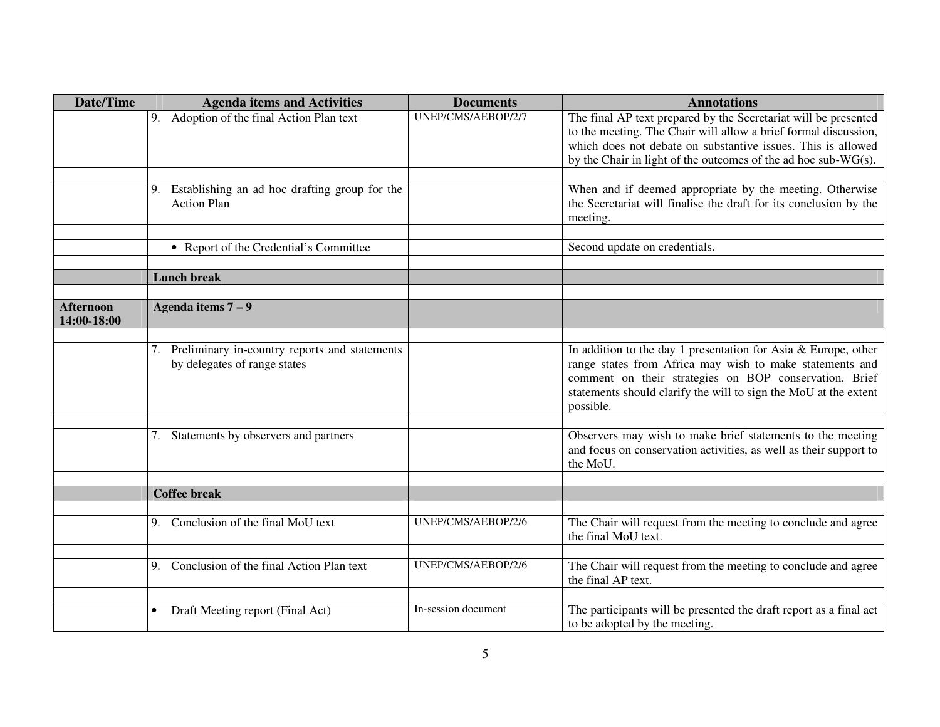| <b>Date/Time</b>                | <b>Agenda items and Activities</b>                                               | <b>Documents</b>    | <b>Annotations</b>                                                                                                                                                                                                                                                       |
|---------------------------------|----------------------------------------------------------------------------------|---------------------|--------------------------------------------------------------------------------------------------------------------------------------------------------------------------------------------------------------------------------------------------------------------------|
|                                 | Adoption of the final Action Plan text<br>9.                                     | UNEP/CMS/AEBOP/2/7  | The final AP text prepared by the Secretariat will be presented<br>to the meeting. The Chair will allow a brief formal discussion,<br>which does not debate on substantive issues. This is allowed<br>by the Chair in light of the outcomes of the ad hoc sub- $WG(s)$ . |
|                                 | Establishing an ad hoc drafting group for the<br>9.<br><b>Action Plan</b>        |                     | When and if deemed appropriate by the meeting. Otherwise<br>the Secretariat will finalise the draft for its conclusion by the<br>meeting.                                                                                                                                |
|                                 | • Report of the Credential's Committee                                           |                     | Second update on credentials.                                                                                                                                                                                                                                            |
|                                 | <b>Lunch break</b>                                                               |                     |                                                                                                                                                                                                                                                                          |
| <b>Afternoon</b><br>14:00-18:00 | Agenda items $7-9$                                                               |                     |                                                                                                                                                                                                                                                                          |
|                                 | 7. Preliminary in-country reports and statements<br>by delegates of range states |                     | In addition to the day 1 presentation for Asia & Europe, other<br>range states from Africa may wish to make statements and<br>comment on their strategies on BOP conservation. Brief<br>statements should clarify the will to sign the MoU at the extent<br>possible.    |
|                                 | Statements by observers and partners<br>7.                                       |                     | Observers may wish to make brief statements to the meeting<br>and focus on conservation activities, as well as their support to<br>the MoU.                                                                                                                              |
|                                 | <b>Coffee break</b>                                                              |                     |                                                                                                                                                                                                                                                                          |
|                                 | Conclusion of the final MoU text<br>9.                                           | UNEP/CMS/AEBOP/2/6  | The Chair will request from the meeting to conclude and agree<br>the final MoU text.                                                                                                                                                                                     |
|                                 | Conclusion of the final Action Plan text<br>9.                                   | UNEP/CMS/AEBOP/2/6  | The Chair will request from the meeting to conclude and agree<br>the final AP text.                                                                                                                                                                                      |
|                                 | Draft Meeting report (Final Act)<br>$\bullet$                                    | In-session document | The participants will be presented the draft report as a final act<br>to be adopted by the meeting.                                                                                                                                                                      |